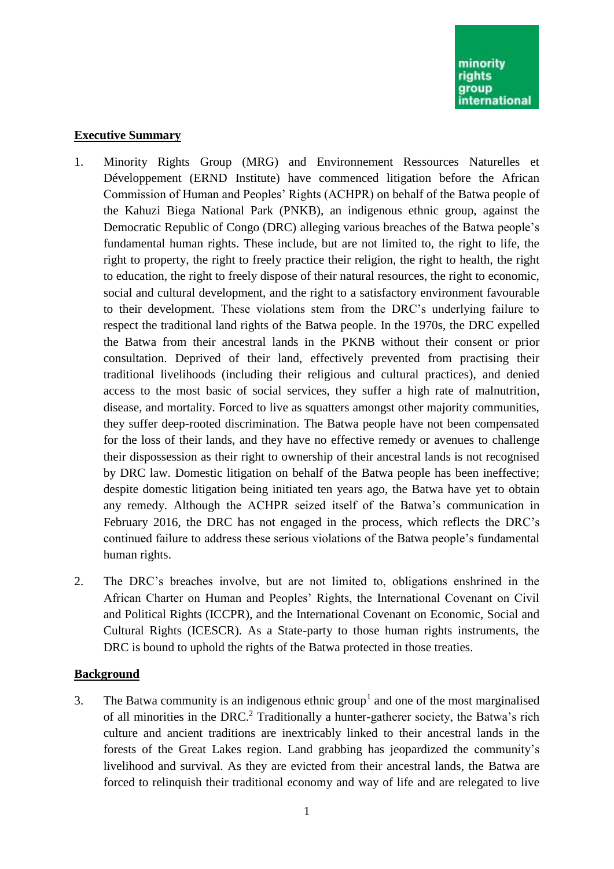## **Executive Summary**

- 1. Minority Rights Group (MRG) and Environnement Ressources Naturelles et Développement (ERND Institute) have commenced litigation before the African Commission of Human and Peoples' Rights (ACHPR) on behalf of the Batwa people of the Kahuzi Biega National Park (PNKB), an indigenous ethnic group, against the Democratic Republic of Congo (DRC) alleging various breaches of the Batwa people's fundamental human rights. These include, but are not limited to, the right to life, the right to property, the right to freely practice their religion, the right to health, the right to education, the right to freely dispose of their natural resources, the right to economic, social and cultural development, and the right to a satisfactory environment favourable to their development. These violations stem from the DRC's underlying failure to respect the traditional land rights of the Batwa people. In the 1970s, the DRC expelled the Batwa from their ancestral lands in the PKNB without their consent or prior consultation. Deprived of their land, effectively prevented from practising their traditional livelihoods (including their religious and cultural practices), and denied access to the most basic of social services, they suffer a high rate of malnutrition, disease, and mortality. Forced to live as squatters amongst other majority communities, they suffer deep-rooted discrimination. The Batwa people have not been compensated for the loss of their lands, and they have no effective remedy or avenues to challenge their dispossession as their right to ownership of their ancestral lands is not recognised by DRC law. Domestic litigation on behalf of the Batwa people has been ineffective; despite domestic litigation being initiated ten years ago, the Batwa have yet to obtain any remedy. Although the ACHPR seized itself of the Batwa's communication in February 2016, the DRC has not engaged in the process, which reflects the DRC's continued failure to address these serious violations of the Batwa people's fundamental human rights.
- 2. The DRC's breaches involve, but are not limited to, obligations enshrined in the African Charter on Human and Peoples' Rights, the International Covenant on Civil and Political Rights (ICCPR), and the International Covenant on Economic, Social and Cultural Rights (ICESCR). As a State-party to those human rights instruments, the DRC is bound to uphold the rights of the Batwa protected in those treaties.

# **Background**

3. The Batwa community is an indigenous ethnic group<sup>1</sup> and one of the most marginalised of all minorities in the DRC.<sup>2</sup> Traditionally a hunter-gatherer society, the Batwa's rich culture and ancient traditions are inextricably linked to their ancestral lands in the forests of the Great Lakes region. Land grabbing has jeopardized the community's livelihood and survival. As they are evicted from their ancestral lands, the Batwa are forced to relinquish their traditional economy and way of life and are relegated to live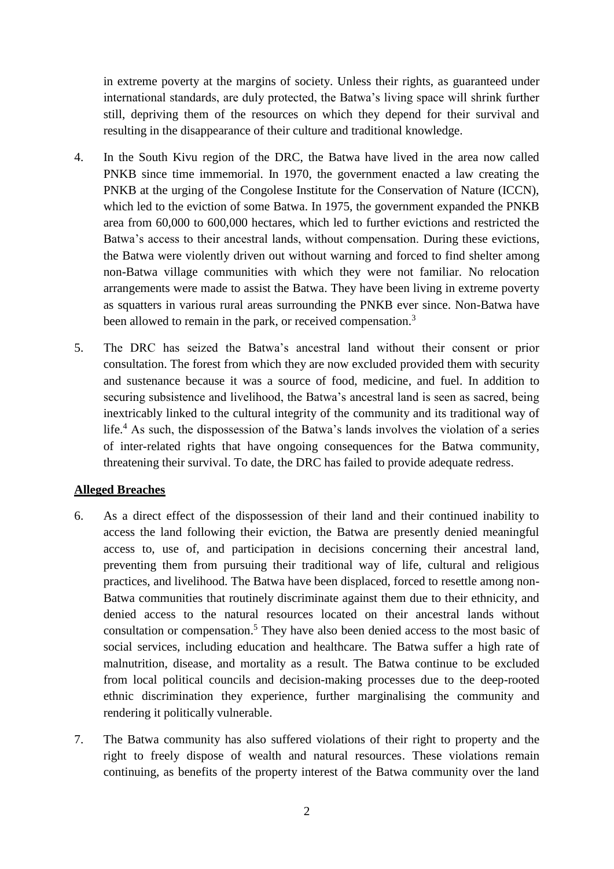in extreme poverty at the margins of society. Unless their rights, as guaranteed under international standards, are duly protected, the Batwa's living space will shrink further still, depriving them of the resources on which they depend for their survival and resulting in the disappearance of their culture and traditional knowledge.

- 4. In the South Kivu region of the DRC, the Batwa have lived in the area now called PNKB since time immemorial. In 1970, the government enacted a law creating the PNKB at the urging of the Congolese Institute for the Conservation of Nature (ICCN), which led to the eviction of some Batwa. In 1975, the government expanded the PNKB area from 60,000 to 600,000 hectares, which led to further evictions and restricted the Batwa's access to their ancestral lands, without compensation. During these evictions, the Batwa were violently driven out without warning and forced to find shelter among non-Batwa village communities with which they were not familiar. No relocation arrangements were made to assist the Batwa. They have been living in extreme poverty as squatters in various rural areas surrounding the PNKB ever since. Non-Batwa have been allowed to remain in the park, or received compensation.<sup>3</sup>
- 5. The DRC has seized the Batwa's ancestral land without their consent or prior consultation. The forest from which they are now excluded provided them with security and sustenance because it was a source of food, medicine, and fuel. In addition to securing subsistence and livelihood, the Batwa's ancestral land is seen as sacred, being inextricably linked to the cultural integrity of the community and its traditional way of life.<sup>4</sup> As such, the dispossession of the Batwa's lands involves the violation of a series of inter-related rights that have ongoing consequences for the Batwa community, threatening their survival. To date, the DRC has failed to provide adequate redress.

### **Alleged Breaches**

- 6. As a direct effect of the dispossession of their land and their continued inability to access the land following their eviction, the Batwa are presently denied meaningful access to, use of, and participation in decisions concerning their ancestral land, preventing them from pursuing their traditional way of life, cultural and religious practices, and livelihood. The Batwa have been displaced, forced to resettle among non-Batwa communities that routinely discriminate against them due to their ethnicity, and denied access to the natural resources located on their ancestral lands without consultation or compensation. <sup>5</sup> They have also been denied access to the most basic of social services, including education and healthcare. The Batwa suffer a high rate of malnutrition, disease, and mortality as a result. The Batwa continue to be excluded from local political councils and decision-making processes due to the deep-rooted ethnic discrimination they experience, further marginalising the community and rendering it politically vulnerable.
- 7. The Batwa community has also suffered violations of their right to property and the right to freely dispose of wealth and natural resources. These violations remain continuing, as benefits of the property interest of the Batwa community over the land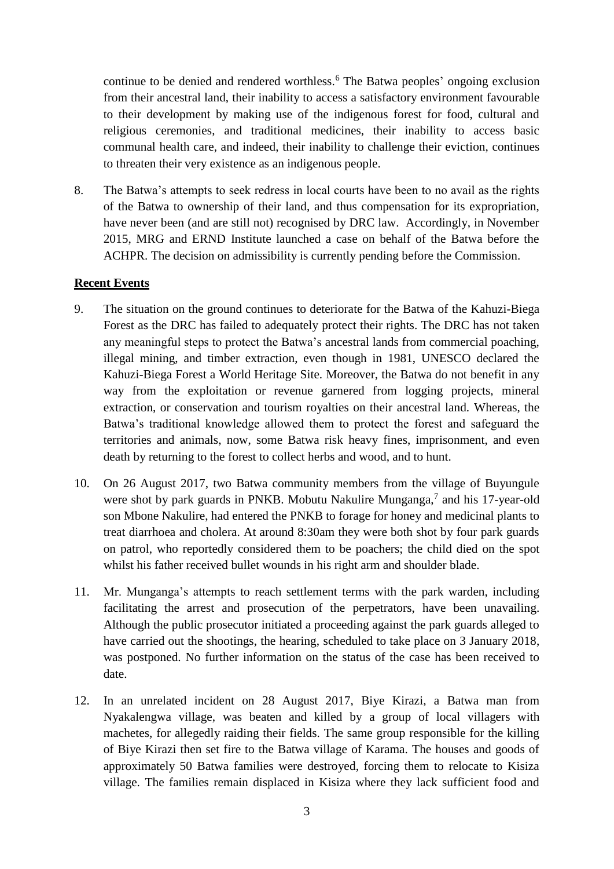continue to be denied and rendered worthless.<sup>6</sup> The Batwa peoples' ongoing exclusion from their ancestral land, their inability to access a satisfactory environment favourable to their development by making use of the indigenous forest for food, cultural and religious ceremonies, and traditional medicines, their inability to access basic communal health care, and indeed, their inability to challenge their eviction, continues to threaten their very existence as an indigenous people.

8. The Batwa's attempts to seek redress in local courts have been to no avail as the rights of the Batwa to ownership of their land, and thus compensation for its expropriation, have never been (and are still not) recognised by DRC law. Accordingly, in November 2015, MRG and ERND Institute launched a case on behalf of the Batwa before the ACHPR. The decision on admissibility is currently pending before the Commission.

# **Recent Events**

- 9. The situation on the ground continues to deteriorate for the Batwa of the Kahuzi-Biega Forest as the DRC has failed to adequately protect their rights. The DRC has not taken any meaningful steps to protect the Batwa's ancestral lands from commercial poaching, illegal mining, and timber extraction, even though in 1981, UNESCO declared the Kahuzi-Biega Forest a World Heritage Site. Moreover, the Batwa do not benefit in any way from the exploitation or revenue garnered from logging projects, mineral extraction, or conservation and tourism royalties on their ancestral land. Whereas, the Batwa's traditional knowledge allowed them to protect the forest and safeguard the territories and animals, now, some Batwa risk heavy fines, imprisonment, and even death by returning to the forest to collect herbs and wood, and to hunt.
- 10. On 26 August 2017, two Batwa community members from the village of Buyungule were shot by park guards in PNKB. Mobutu Nakulire Munganga,<sup>7</sup> and his 17-year-old son Mbone Nakulire, had entered the PNKB to forage for honey and medicinal plants to treat diarrhoea and cholera. At around 8:30am they were both shot by four park guards on patrol, who reportedly considered them to be poachers; the child died on the spot whilst his father received bullet wounds in his right arm and shoulder blade.
- 11. Mr. Munganga's attempts to reach settlement terms with the park warden, including facilitating the arrest and prosecution of the perpetrators, have been unavailing. Although the public prosecutor initiated a proceeding against the park guards alleged to have carried out the shootings, the hearing, scheduled to take place on 3 January 2018, was postponed. No further information on the status of the case has been received to date.
- 12. In an unrelated incident on 28 August 2017, Biye Kirazi, a Batwa man from Nyakalengwa village, was beaten and killed by a group of local villagers with machetes, for allegedly raiding their fields. The same group responsible for the killing of Biye Kirazi then set fire to the Batwa village of Karama. The houses and goods of approximately 50 Batwa families were destroyed, forcing them to relocate to Kisiza village. The families remain displaced in Kisiza where they lack sufficient food and